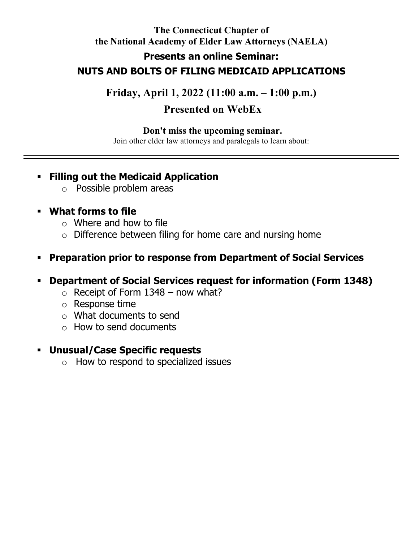# **The Connecticut Chapter of the National Academy of Elder Law Attorneys (NAELA) Presents an online Seminar: NUTS AND BOLTS OF FILING MEDICAID APPLICATIONS**

**Friday, April 1, 2022 (11:00 a.m. – 1:00 p.m.)**

# **Presented on WebEx**

### **Don't miss the upcoming seminar.**

Join other elder law attorneys and paralegals to learn about:

### **Filling out the Medicaid Application**

o Possible problem areas

## **What forms to file**

- $\circ$  Where and how to file
- o Difference between filing for home care and nursing home

## **Preparation prior to response from Department of Social Services**

- **Department of Social Services request for information (Form 1348)**
	- $\circ$  Receipt of Form 1348 now what?
	- o Response time
	- o What documents to send
	- o How to send documents

### **Unusual/Case Specific requests**

 $\circ$  How to respond to specialized issues